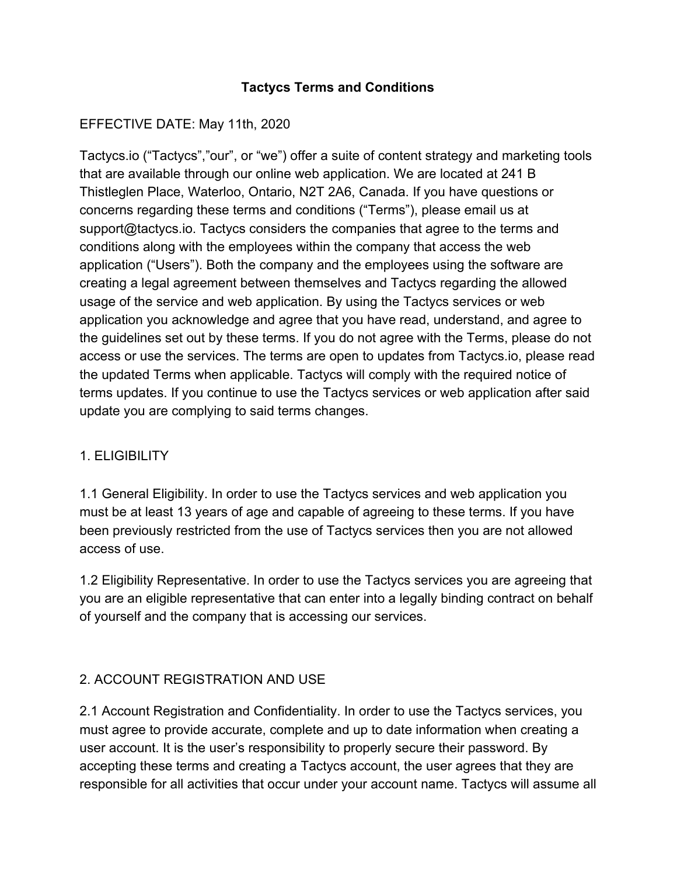### **Tactycs Terms and Conditions**

### EFFECTIVE DATE: May 11th, 2020

Tactycs.io ("Tactycs","our", or "we") offer a suite of content strategy and marketing tools that are available through our online web application. We are located at 241 B Thistleglen Place, Waterloo, Ontario, N2T 2A6, Canada. If you have questions or concerns regarding these terms and conditions ("Terms"), please email us at support@tactycs.io. Tactycs considers the companies that agree to the terms and conditions along with the employees within the company that access the web application ("Users"). Both the company and the employees using the software are creating a legal agreement between themselves and Tactycs regarding the allowed usage of the service and web application. By using the Tactycs services or web application you acknowledge and agree that you have read, understand, and agree to the guidelines set out by these terms. If you do not agree with the Terms, please do not access or use the services. The terms are open to updates from Tactycs.io, please read the updated Terms when applicable. Tactycs will comply with the required notice of terms updates. If you continue to use the Tactycs services or web application after said update you are complying to said terms changes.

#### 1. ELIGIBILITY

1.1 General Eligibility. In order to use the Tactycs services and web application you must be at least 13 years of age and capable of agreeing to these terms. If you have been previously restricted from the use of Tactycs services then you are not allowed access of use.

1.2 Eligibility Representative. In order to use the Tactycs services you are agreeing that you are an eligible representative that can enter into a legally binding contract on behalf of yourself and the company that is accessing our services.

### 2. ACCOUNT REGISTRATION AND USE

2.1 Account Registration and Confidentiality. In order to use the Tactycs services, you must agree to provide accurate, complete and up to date information when creating a user account. It is the user's responsibility to properly secure their password. By accepting these terms and creating a Tactycs account, the user agrees that they are responsible for all activities that occur under your account name. Tactycs will assume all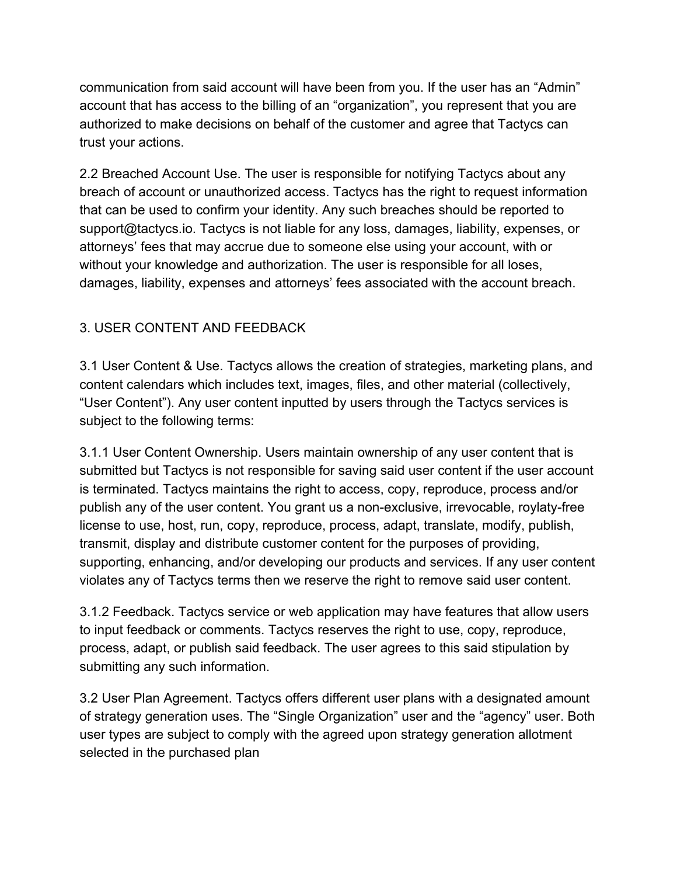communication from said account will have been from you. If the user has an "Admin" account that has access to the billing of an "organization", you represent that you are authorized to make decisions on behalf of the customer and agree that Tactycs can trust your actions.

2.2 Breached Account Use. The user is responsible for notifying Tactycs about any breach of account or unauthorized access. Tactycs has the right to request information that can be used to confirm your identity. Any such breaches should be reported to support@tactycs.io. Tactycs is not liable for any loss, damages, liability, expenses, or attorneys' fees that may accrue due to someone else using your account, with or without your knowledge and authorization. The user is responsible for all loses, damages, liability, expenses and attorneys' fees associated with the account breach.

## 3. USER CONTENT AND FEEDBACK

3.1 User Content & Use. Tactycs allows the creation of strategies, marketing plans, and content calendars which includes text, images, files, and other material (collectively, "User Content"). Any user content inputted by users through the Tactycs services is subject to the following terms:

3.1.1 User Content Ownership. Users maintain ownership of any user content that is submitted but Tactycs is not responsible for saving said user content if the user account is terminated. Tactycs maintains the right to access, copy, reproduce, process and/or publish any of the user content. You grant us a non-exclusive, irrevocable, roylaty-free license to use, host, run, copy, reproduce, process, adapt, translate, modify, publish, transmit, display and distribute customer content for the purposes of providing, supporting, enhancing, and/or developing our products and services. If any user content violates any of Tactycs terms then we reserve the right to remove said user content.

3.1.2 Feedback. Tactycs service or web application may have features that allow users to input feedback or comments. Tactycs reserves the right to use, copy, reproduce, process, adapt, or publish said feedback. The user agrees to this said stipulation by submitting any such information.

3.2 User Plan Agreement. Tactycs offers different user plans with a designated amount of strategy generation uses. The "Single Organization" user and the "agency" user. Both user types are subject to comply with the agreed upon strategy generation allotment selected in the purchased plan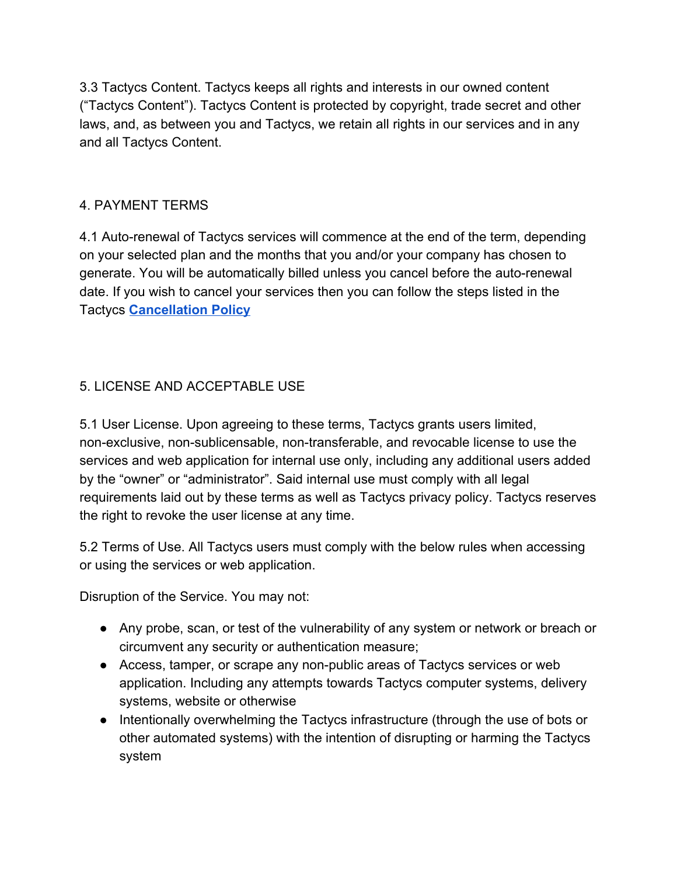3.3 Tactycs Content. Tactycs keeps all rights and interests in our owned content ("Tactycs Content"). Tactycs Content is protected by copyright, trade secret and other laws, and, as between you and Tactycs, we retain all rights in our services and in any and all Tactycs Content.

### 4. PAYMENT TERMS

4.1 Auto-renewal of Tactycs services will commence at the end of the term, depending on your selected plan and the months that you and/or your company has chosen to generate. You will be automatically billed unless you cancel before the auto-renewal date. If you wish to cancel your services then you can follow the steps listed in the Tactycs **[Cancellation Policy](https://www.tactycs.io/)**

## 5. LICENSE AND ACCEPTABLE USE

5.1 User License. Upon agreeing to these terms, Tactycs grants users limited, non-exclusive, non-sublicensable, non-transferable, and revocable license to use the services and web application for internal use only, including any additional users added by the "owner" or "administrator". Said internal use must comply with all legal requirements laid out by these terms as well as Tactycs privacy policy. Tactycs reserves the right to revoke the user license at any time.

5.2 Terms of Use. All Tactycs users must comply with the below rules when accessing or using the services or web application.

Disruption of the Service. You may not:

- Any probe, scan, or test of the vulnerability of any system or network or breach or circumvent any security or authentication measure;
- Access, tamper, or scrape any non-public areas of Tactycs services or web application. Including any attempts towards Tactycs computer systems, delivery systems, website or otherwise
- Intentionally overwhelming the Tactycs infrastructure (through the use of bots or other automated systems) with the intention of disrupting or harming the Tactycs system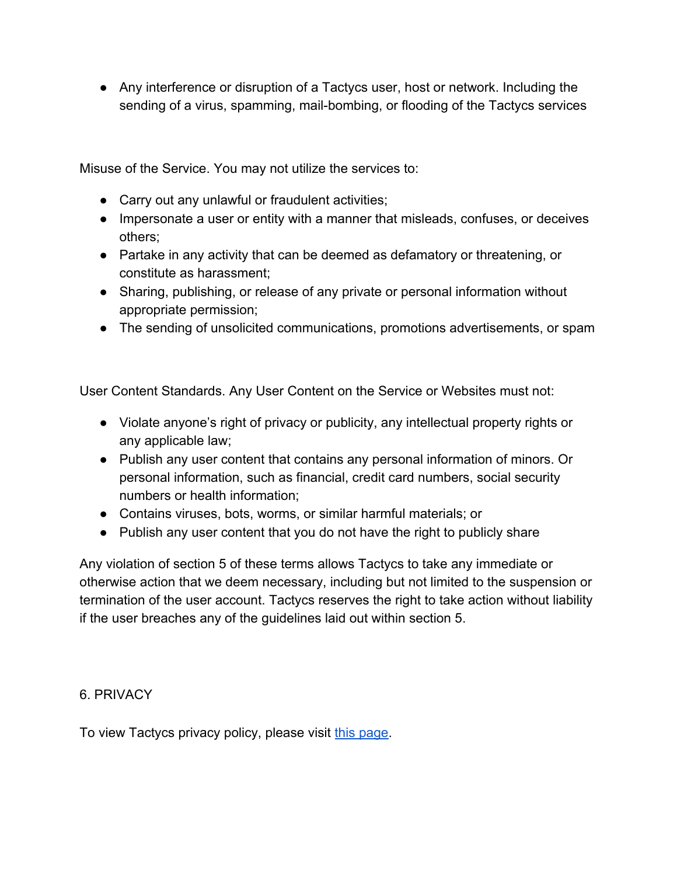● Any interference or disruption of a Tactycs user, host or network. Including the sending of a virus, spamming, mail-bombing, or flooding of the Tactycs services

Misuse of the Service. You may not utilize the services to:

- Carry out any unlawful or fraudulent activities;
- Impersonate a user or entity with a manner that misleads, confuses, or deceives others;
- Partake in any activity that can be deemed as defamatory or threatening, or constitute as harassment;
- Sharing, publishing, or release of any private or personal information without appropriate permission;
- The sending of unsolicited communications, promotions advertisements, or spam

User Content Standards. Any User Content on the Service or Websites must not:

- Violate anyone's right of privacy or publicity, any intellectual property rights or any applicable law;
- Publish any user content that contains any personal information of minors. Or personal information, such as financial, credit card numbers, social security numbers or health information;
- Contains viruses, bots, worms, or similar harmful materials; or
- Publish any user content that you do not have the right to publicly share

Any violation of section 5 of these terms allows Tactycs to take any immediate or otherwise action that we deem necessary, including but not limited to the suspension or termination of the user account. Tactycs reserves the right to take action without liability if the user breaches any of the guidelines laid out within section 5.

#### 6. PRIVACY

To view Tactycs privacy policy, please visit [this page.](https://www.tackler.io/privacy-policy/)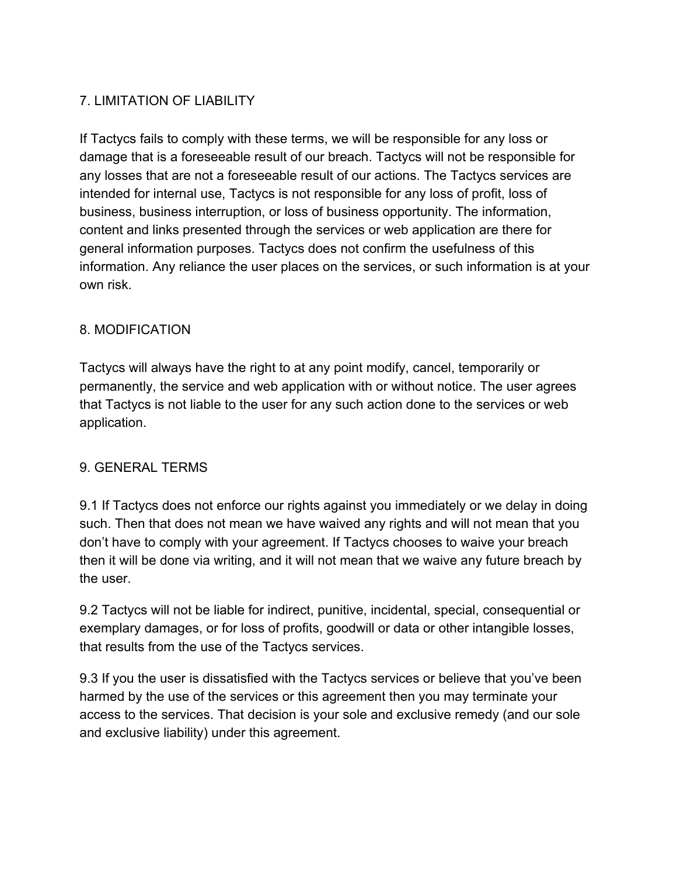# 7. LIMITATION OF LIABILITY

If Tactycs fails to comply with these terms, we will be responsible for any loss or damage that is a foreseeable result of our breach. Tactycs will not be responsible for any losses that are not a foreseeable result of our actions. The Tactycs services are intended for internal use, Tactycs is not responsible for any loss of profit, loss of business, business interruption, or loss of business opportunity. The information, content and links presented through the services or web application are there for general information purposes. Tactycs does not confirm the usefulness of this information. Any reliance the user places on the services, or such information is at your own risk.

#### 8. MODIFICATION

Tactycs will always have the right to at any point modify, cancel, temporarily or permanently, the service and web application with or without notice. The user agrees that Tactycs is not liable to the user for any such action done to the services or web application.

#### 9. GENERAL TERMS

9.1 If Tactycs does not enforce our rights against you immediately or we delay in doing such. Then that does not mean we have waived any rights and will not mean that you don't have to comply with your agreement. If Tactycs chooses to waive your breach then it will be done via writing, and it will not mean that we waive any future breach by the user.

9.2 Tactycs will not be liable for indirect, punitive, incidental, special, consequential or exemplary damages, or for loss of profits, goodwill or data or other intangible losses, that results from the use of the Tactycs services.

9.3 If you the user is dissatisfied with the Tactycs services or believe that you've been harmed by the use of the services or this agreement then you may terminate your access to the services. That decision is your sole and exclusive remedy (and our sole and exclusive liability) under this agreement.